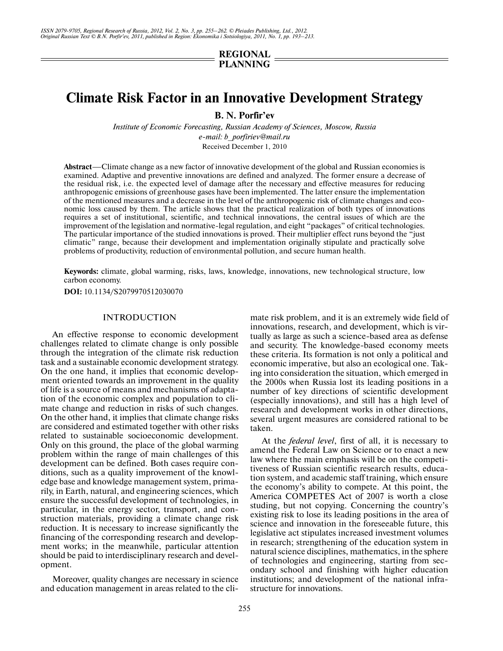# **REGIONAL PLANNING**

# **Climate Risk Factor in an Innovative Development Strategy**

**B. N. Porfir'ev**

*Institute of Economic Forecasting, Russian Academy of Sciences, Moscow, Russia e-mail: b\_porfiriev@mail.ru* Received December 1, 2010

**Abstract**—Climate change as a new factor of innovative development of the global and Russian economies is examined. Adaptive and preventive innovations are defined and analyzed. The former ensure a decrease of the residual risk, i.e. the expected level of damage after the necessary and effective measures for reducing anthropogenic emissions of greenhouse gases have been implemented. The latter ensure the implementation of the mentioned measures and a decrease in the level of the anthropogenic risk of climate changes and eco nomic loss caused by them. The article shows that the practical realization of both types of innovations requires a set of institutional, scientific, and technical innovations, the central issues of which are the improvement of the legislation and normative-legal regulation, and eight "packages" of critical technologies. The particular importance of the studied innovations is proved. Their multiplier effect runs beyond the "just climatic" range, because their development and implementation originally stipulate and practically solve problems of productivity, reduction of environmental pollution, and secure human health.

**Keywords:** climate, global warming, risks, laws, knowledge, innovations, new technological structure, low carbon economy.

**DOI:** 10.1134/S2079970512030070

# INTRODUCTION

An effective response to economic development challenges related to climate change is only possible through the integration of the climate risk reduction task and a sustainable economic development strategy. On the one hand, it implies that economic develop ment oriented towards an improvement in the quality of life is a source of means and mechanisms of adapta tion of the economic complex and population to climate change and reduction in risks of such changes. On the other hand, it implies that climate change risks are considered and estimated together with other risks related to sustainable socioeconomic development. Only on this ground, the place of the global warming problem within the range of main challenges of this development can be defined. Both cases require con ditions, such as a quality improvement of the knowl edge base and knowledge management system, prima rily, in Earth, natural, and engineering sciences, which ensure the successful development of technologies, in particular, in the energy sector, transport, and con struction materials, providing a climate change risk reduction. It is necessary to increase significantly the financing of the corresponding research and develop ment works; in the meanwhile, particular attention should be paid to interdisciplinary research and devel opment.

Moreover, quality changes are necessary in science and education management in areas related to the climate risk problem, and it is an extremely wide field of innovations, research, and development, which is vir tually as large as such a science-based area as defense and security. The knowledge-based economy meets these criteria. Its formation is not only a political and economic imperative, but also an ecological one. Tak ing into consideration the situation, which emerged in the 2000s when Russia lost its leading positions in a number of key directions of scientific development (especially innovations), and still has a high level of research and development works in other directions, several urgent measures are considered rational to be taken.

At the *federal level*, first of all, it is necessary to amend the Federal Law on Science or to enact a new law where the main emphasis will be on the competi tiveness of Russian scientific research results, educa tion system, and academic staff training, which ensure the economy's ability to compete. At this point, the America COMPETES Act of 2007 is worth a close studing, but not copying. Concerning the country's existing risk to lose its leading positions in the area of science and innovation in the foreseeable future, this legislative act stipulates increased investment volumes in research; strengthening of the education system in natural science disciplines, mathematics, in the sphere of technologies and engineering, starting from sec ondary school and finishing with higher education institutions; and development of the national infra structure for innovations.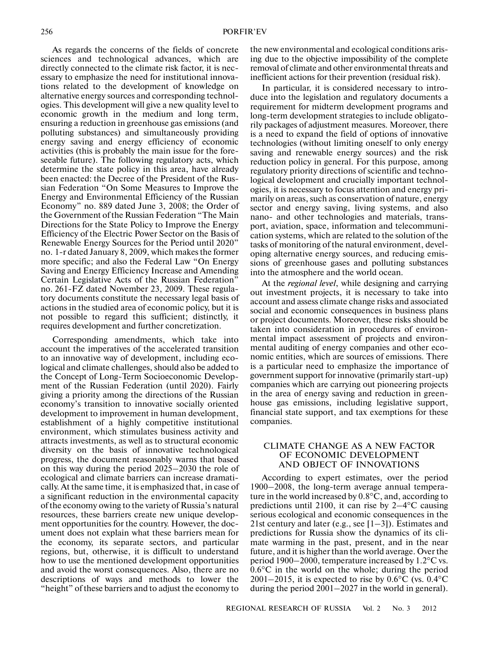As regards the concerns of the fields of concrete sciences and technological advances, which are directly connected to the climate risk factor, it is nec essary to emphasize the need for institutional innova tions related to the development of knowledge on alternative energy sources and corresponding technol ogies. This development will give a new quality level to economic growth in the medium and long term, ensuring a reduction in greenhouse gas emissions (and polluting substances) and simultaneously providing energy saving and energy efficiency of economic activities (this is probably the main issue for the fore seeable future). The following regulatory acts, which determine the state policy in this area, have already been enacted: the Decree of the President of the Rus sian Federation "On Some Measures to Improve the Energy and Environmental Efficiency of the Russian Economy" no. 889 dated June 3, 2008; the Order of the Government of the Russian Federation "The Main Directions for the State Policy to Improve the Energy Efficiency of the Electric Power Sector on the Basis of Renewable Energy Sources for the Period until 2020" no. 1-r dated January 8, 2009, which makes the former more specific; and also the Federal Law "On Energy Saving and Energy Efficiency Increase and Amending Certain Legislative Acts of the Russian Federation" no. 261-FZ dated November 23, 2009. These regula tory documents constitute the necessary legal basis of actions in the studied area of economic policy, but it is not possible to regard this sufficient; distinctly, it requires development and further concretization.

Corresponding amendments, which take into account the imperatives of the accelerated transition to an innovative way of development, including eco logical and climate challenges, should also be added to the Concept of Long-Term Socioeconomic Develop ment of the Russian Federation (until 2020). Fairly giving a priority among the directions of the Russian economy's transition to innovative socially oriented development to improvement in human development, establishment of a highly competitive institutional environment, which stimulates business activity and attracts investments, as well as to structural economic diversity on the basis of innovative technological progress, the document reasonably warns that based on this way during the period 2025–2030 the role of ecological and climate barriers can increase dramati cally. At the same time, it is emphasized that, in case of a significant reduction in the environmental capacity of the economy owing to the variety of Russia's natural resources, these barriers create new unique develop ment opportunities for the country. However, the doc ument does not explain what these barriers mean for the economy, its separate sectors, and particular regions, but, otherwise, it is difficult to understand how to use the mentioned development opportunities and avoid the worst consequences. Also, there are no descriptions of ways and methods to lower the "height" of these barriers and to adjust the economy to

the new environmental and ecological conditions aris ing due to the objective impossibility of the complete removal of climate and other environmental threats and inefficient actions for their prevention (residual risk).

In particular, it is considered necessary to intro duce into the legislation and regulatory documents a requirement for midterm development programs and long-term development strategies to include obligato rily packages of adjustment measures. Moreover, there is a need to expand the field of options of innovative technologies (without limiting oneself to only energy saving and renewable energy sources) and the risk reduction policy in general. For this purpose, among regulatory priority directions of scientific and techno logical development and crucially important technol ogies, it is necessary to focus attention and energy pri marily on areas, such as conservation of nature, energy sector and energy saving, living systems, and also nano- and other technologies and materials, trans port, aviation, space, information and telecommuni cation systems, which are related to the solution of the tasks of monitoring of the natural environment, devel oping alternative energy sources, and reducing emis sions of greenhouse gases and polluting substances into the atmosphere and the world ocean.

At the *regional level*, while designing and carrying out investment projects, it is necessary to take into account and assess climate change risks and associated social and economic consequences in business plans or project documents. Moreover, these risks should be taken into consideration in procedures of environ mental impact assessment of projects and environ mental auditing of energy companies and other eco nomic entities, which are sources of emissions. There is a particular need to emphasize the importance of government support for innovative (primarily start-up) companies which are carrying out pioneering projects in the area of energy saving and reduction in green house gas emissions, including legislative support, financial state support, and tax exemptions for these companies.

# CLIMATE CHANGE AS A NEW FACTOR OF ECONOMIC DEVELOPMENT AND OBJECT OF INNOVATIONS

According to expert estimates, over the period 1900–2008, the long-term average annual tempera-  $1900-2008$ , the long-term average annual temperature in the world increased by  $0.8^{\circ}$ C, and, according to ture in the world increased by  $0.8^{\circ}$ C, and, according to predictions until 2100, it can rise by  $2-4^{\circ}$ C causing serious ecological and economic consequences in the 21st century and later (e.g., see  $[1-3]$ ). Estimates and predictions for Russia show the dynamics of its cli mate warming in the past, present, and in the near future, and it is higher than the world average. Over the mate warning in the past, present, and in the hear<br>future, and it is higher than the world average. Over the<br>period 1900–2000, temperature increased by  $1.2^{\circ}$ C vs. period 1900–2000, temperature increased by  $1.2^{\circ}$ C vs.<br>0.6°C in the world on the whole; during the period 0.6°C in the world on the whole; during the period  $2001-2015$ , it is expected to rise by 0.6°C (vs. 0.4°C during the period 2001–2027 in the world in general).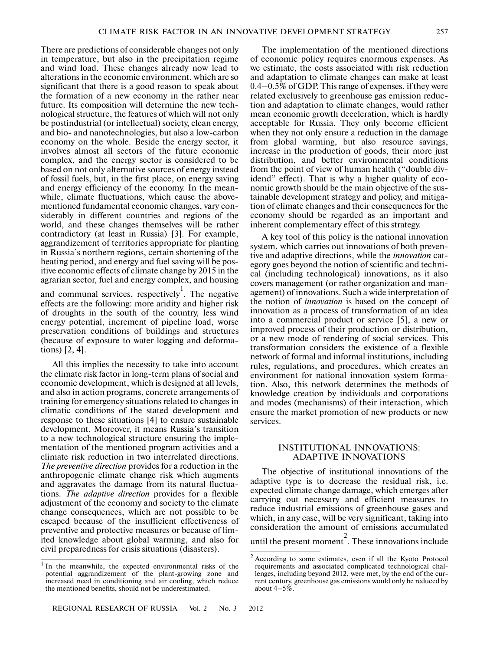There are predictions of considerable changes not only in temperature, but also in the precipitation regime and wind load. These changes already now lead to alterations in the economic environment, which are so significant that there is a good reason to speak about the formation of a new economy in the rather near future. Its composition will determine the new tech nological structure, the features of which will not only be postindustrial (or intellectual) society, clean energy, and bio- and nanotechnologies, but also a low-carbon economy on the whole. Beside the energy sector, it involves almost all sectors of the future economic complex, and the energy sector is considered to be based on not only alternative sources of energy instead of fossil fuels, but, in the first place, on energy saving and energy efficiency of the economy. In the mean while, climate fluctuations, which cause the above mentioned fundamental economic changes, vary con siderably in different countries and regions of the world, and these changes themselves will be rather contradictory (at least in Russia) [3]. For example, aggrandizement of territories appropriate for planting in Russia's northern regions, certain shortening of the heating period, and energy and fuel saving will be pos itive economic effects of climate change by 2015 in the agrarian sector, fuel and energy complex, and housing

and communal services, respectively<sup>1</sup>. The negative effects are the following: more aridity and higher risk of droughts in the south of the country, less wind energy potential, increment of pipeline load, worse preservation conditions of buildings and structures (because of exposure to water logging and deforma tions) [2, 4].

All this implies the necessity to take into account the climate risk factor in long-term plans of social and economic development, which is designed at all levels, and also in action programs, concrete arrangements of training for emergency situations related to changes in climatic conditions of the stated development and response to these situations [4] to ensure sustainable development. Moreover, it means Russia's transition to a new technological structure ensuring the imple mentation of the mentioned program activities and a climate risk reduction in two interrelated directions. *The preventive direction* provides for a reduction in the anthropogenic climate change risk which augments and aggravates the damage from its natural fluctua tions. *The adaptive direction* provides for a flexible adjustment of the economy and society to the climate change consequences, which are not possible to be escaped because of the insufficient effectiveness of preventive and protective measures or because of lim ited knowledge about global warming, and also for civil preparedness for crisis situations (disasters).

The implementation of the mentioned directions of economic policy requires enormous expenses. As we estimate, the costs associated with risk reduction and adaptation to climate changes can make at least 0.4–0.5% of GDP. This range of expenses, if they were related exclusively to greenhouse gas emission reduc tion and adaptation to climate changes, would rather mean economic growth deceleration, which is hardly acceptable for Russia. They only become efficient when they not only ensure a reduction in the damage from global warming, but also resource savings, increase in the production of goods, their more just distribution, and better environmental conditions from the point of view of human health ("double div idend" effect). That is why a higher quality of eco nomic growth should be the main objective of the sus tainable development strategy and policy, and mitiga tion of climate changes and their consequences for the economy should be regarded as an important and inherent complementary effect of this strategy.

A key tool of this policy is the national innovation system, which carries out innovations of both preven tive and adaptive directions, while the *innovation* cat egory goes beyond the notion of scientific and techni cal (including technological) innovations, as it also covers management (or rather organization and man agement) of innovations. Such a wide interpretation of the notion of *innovation* is based on the concept of innovation as a process of transformation of an idea into a commercial product or service [5], a new or improved process of their production or distribution, or a new mode of rendering of social services. This transformation considers the existence of a flexible network of formal and informal institutions, including rules, regulations, and procedures, which creates an environment for national innovation system forma tion. Also, this network determines the methods of knowledge creation by individuals and corporations and modes (mechanisms) of their interaction, which ensure the market promotion of new products or new services.

# INSTITUTIONAL INNOVATIONS: ADAPTIVE INNOVATIONS

The objective of institutional innovations of the adaptive type is to decrease the residual risk, i.e. expected climate change damage, which emerges after carrying out necessary and efficient measures to reduce industrial emissions of greenhouse gases and which, in any case, will be very significant, taking into consideration the amount of emissions accumulated

until the present moment 2 . These innovations include

<sup>&</sup>lt;sup>1</sup> In the meanwhile, the expected environmental risks of the potential aggrandizement of the plant-growing zone and increased need in conditioning and air cooling, which reduce the mentioned benefits, should not be underestimated.

<sup>2</sup> According to some estimates, even if all the Kyoto Protocol requirements and associated complicated technological chal lenges, including beyond 2012, were met, by the end of the cur rent century, greenhouse gas emissions would only be reduced by about  $4-5\%$ .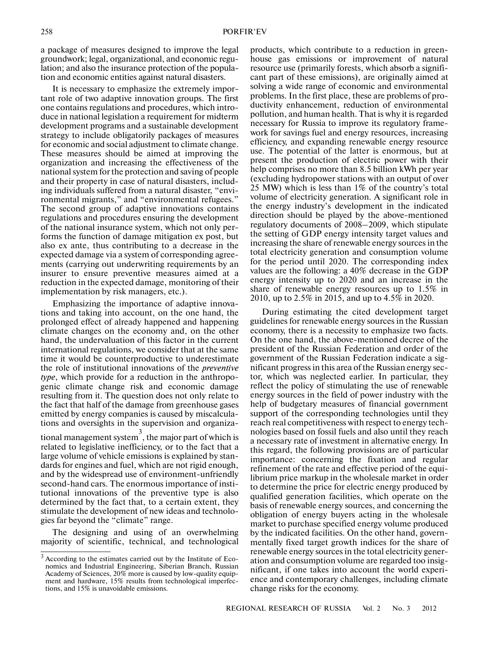a package of measures designed to improve the legal groundwork; legal, organizational, and economic regu lation; and also the insurance protection of the popula tion and economic entities against natural disasters.

It is necessary to emphasize the extremely impor tant role of two adaptive innovation groups. The first one contains regulations and procedures, which intro duce in national legislation a requirement for midterm development programs and a sustainable development strategy to include obligatorily packages of measures for economic and social adjustment to climate change. These measures should be aimed at improving the organization and increasing the effectiveness of the national system for the protection and saving of people and their property in case of natural disasters, includ ing individuals suffered from a natural disaster, "envi ronmental migrants," and "environmental refugees." The second group of adaptive innovations contains regulations and procedures ensuring the development of the national insurance system, which not only per forms the function of damage mitigation ex post, but also ex ante, thus contributing to a decrease in the expected damage via a system of corresponding agree ments (carrying out underwriting requirements by an insurer to ensure preventive measures aimed at a reduction in the expected damage, monitoring of their implementation by risk managers, etc.).

Emphasizing the importance of adaptive innova tions and taking into account, on the one hand, the prolonged effect of already happened and happening climate changes on the economy and, on the other hand, the undervaluation of this factor in the current international regulations, we consider that at the same time it would be counterproductive to underestimate the role of institutional innovations of the *preventive type*, which provide for a reduction in the anthropo genic climate change risk and economic damage resulting from it. The question does not only relate to the fact that half of the damage from greenhouse gases emitted by energy companies is caused by miscalcula tions and oversights in the supervision and organiza-

tional management system 3 , the major part of which is related to legislative inefficiency, or to the fact that a large volume of vehicle emissions is explained by stan dards for engines and fuel, which are not rigid enough, and by the widespread use of environment-unfriendly second-hand cars. The enormous importance of insti tutional innovations of the preventive type is also determined by the fact that, to a certain extent, they stimulate the development of new ideas and technolo gies far beyond the "climate" range.

The designing and using of an overwhelming majority of scientific, technical, and technological

products, which contribute to a reduction in green house gas emissions or improvement of natural resource use (primarily forests, which absorb a signifi cant part of these emissions), are originally aimed at solving a wide range of economic and environmental problems. In the first place, these are problems of pro ductivity enhancement, reduction of environmental pollution, and human health. That is why it is regarded necessary for Russia to improve its regulatory frame work for savings fuel and energy resources, increasing efficiency, and expanding renewable energy resource use. The potential of the latter is enormous, but at present the production of electric power with their help comprises no more than 8.5 billion kWh per year (excluding hydropower stations with an output of over 25 MW) which is less than 1% of the country's total volume of electricity generation. A significant role in the energy industry's development in the indicated direction should be played by the above-mentioned regulatory documents of 2008–2009, which stipulate the setting of GDP energy intensity target values and increasing the share of renewable energy sources in the total electricity generation and consumption volume for the period until 2020. The corresponding index values are the following: a 40% decrease in the GDP energy intensity up to 2020 and an increase in the share of renewable energy resources up to 1.5% in 2010, up to 2.5% in 2015, and up to 4.5% in 2020.

During estimating the cited development target guidelines for renewable energy sources in the Russian economy, there is a necessity to emphasize two facts. On the one hand, the above-mentioned decree of the president of the Russian Federation and order of the government of the Russian Federation indicate a sig nificant progress in this area of the Russian energy sec tor, which was neglected earlier. In particular, they reflect the policy of stimulating the use of renewable energy sources in the field of power industry with the help of budgetary measures of financial government support of the corresponding technologies until they reach real competitiveness with respect to energy tech nologies based on fossil fuels and also until they reach a necessary rate of investment in alternative energy. In this regard, the following provisions are of particular importance: concerning the fixation and regular refinement of the rate and effective period of the equi librium price markup in the wholesale market in order to determine the price for electric energy produced by qualified generation facilities, which operate on the basis of renewable energy sources, and concerning the obligation of energy buyers acting in the wholesale market to purchase specified energy volume produced by the indicated facilities. On the other hand, govern mentally fixed target growth indices for the share of renewable energy sources in the total electricity gener ation and consumption volume are regarded too insig nificant, if one takes into account the world experi ence and contemporary challenges, including climate change risks for the economy.

<sup>&</sup>lt;sup>3</sup> According to the estimates carried out by the Institute of Economics and Industrial Engineering, Siberian Branch, Russian Academy of Sciences, 20% more is caused by low-quality equip ment and hardware, 15% results from technological imperfec tions, and 15% is unavoidable emissions.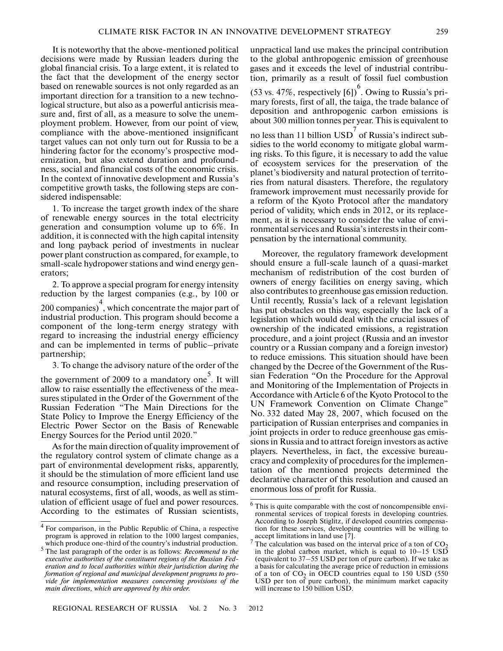It is noteworthy that the above-mentioned political decisions were made by Russian leaders during the global financial crisis. To a large extent, it is related to the fact that the development of the energy sector based on renewable sources is not only regarded as an important direction for a transition to a new techno logical structure, but also as a powerful anticrisis mea sure and, first of all, as a measure to solve the unem ployment problem. However, from our point of view, compliance with the above-mentioned insignificant target values can not only turn out for Russia to be a hindering factor for the economy's prospective mod ernization, but also extend duration and profound ness, social and financial costs of the economic crisis. In the context of innovative development and Russia's competitive growth tasks, the following steps are con sidered indispensable:

1. To increase the target growth index of the share of renewable energy sources in the total electricity generation and consumption volume up to 6%. In addition, it is connected with the high capital intensity and long payback period of investments in nuclear power plant construction as compared, for example, to small-scale hydropower stations and wind energy gen erators;

2. To approve a special program for energy intensity reduction by the largest companies (e.g., by 100 or 200 companies) 4 , which concentrate the major part of industrial production. This program should become a component of the long-term energy strategy with regard to increasing the industrial energy efficiency and can be implemented in terms of public–private partnership;

3. To change the advisory nature of the order of the

the government of 2009 to a mandatory one 5 . It will allow to raise essentially the effectiveness of the mea sures stipulated in the Order of the Government of the Russian Federation "The Main Directions for the State Policy to Improve the Energy Efficiency of the Electric Power Sector on the Basis of Renewable Energy Sources for the Period until 2020."

As for the main direction of quality improvement of the regulatory control system of climate change as a part of environmental development risks, apparently, it should be the stimulation of more efficient land use and resource consumption, including preservation of natural ecosystems, first of all, woods, as well as stim ulation of efficient usage of fuel and power resources. According to the estimates of Russian scientists,

unpractical land use makes the principal contribution to the global anthropogenic emission of greenhouse gases and it exceeds the level of industrial contribu tion, primarily as a result of fossil fuel combustion (53 vs. 47%, respectively  $[6]$ <sup>6</sup>. Owing to Russia's primary forests, first of all, the taiga, the trade balance of deposition and anthropogenic carbon emissions is

about 300 million tonnes per year. This is equivalent to no less than 11 billion  $\text{USD}^7$  of Russia's indirect subsidies to the world economy to mitigate global warm ing risks. To this figure, it is necessary to add the value of ecosystem services for the preservation of the planet's biodiversity and natural protection of territo ries from natural disasters. Therefore, the regulatory framework improvement must necessarily provide for a reform of the Kyoto Protocol after the mandatory period of validity, which ends in 2012, or its replace ment, as it is necessary to consider the value of envi ronmental services and Russia's interests in their com pensation by the international community.

Moreover, the regulatory framework development should ensure a full-scale launch of a quasi-market mechanism of redistribution of the cost burden of owners of energy facilities on energy saving, which also contributes to greenhouse gas emission reduction. Until recently, Russia's lack of a relevant legislation has put obstacles on this way, especially the lack of a legislation which would deal with the crucial issues of ownership of the indicated emissions, a registration procedure, and a joint project (Russia and an investor country or a Russian company and a foreign investor) to reduce emissions. This situation should have been changed by the Decree of the Government of the Rus sian Federation "On the Procedure for the Approval and Monitoring of the Implementation of Projects in Accordance with Article 6 of the Kyoto Protocol to the UN Framework Convention on Climate Change" No. 332 dated May 28, 2007, which focused on the participation of Russian enterprises and companies in joint projects in order to reduce greenhouse gas emis sions in Russia and to attract foreign investors as active players. Nevertheless, in fact, the excessive bureau cracy and complexity of procedures for the implemen tation of the mentioned projects determined the declarative character of this resolution and caused an enormous loss of profit for Russia.

<sup>4</sup> For comparison, in the Public Republic of China, a respective program is approved in relation to the 1000 largest companies, which produce one-third of the country's industrial production.

<sup>5</sup> The last paragraph of the order is as follows: *Recommend to the executive authorities of the constituent regions of the Russian Fed eration and to local authorities within their jurisdiction during the formation of regional and municipal development programs to pro vide for implementation measures concerning provisions of the main directions, which are approved by this order.*

 $6$  This is quite comparable with the cost of noncompensible environmental services of tropical forests in developing countries. According to Joseph Stiglitz, if developed countries compensa tion for these services, developing countries will be willing to accept limitations in land use [7].

<sup>&</sup>lt;sup>7</sup> The calculation was based on the interval price of a ton of  $CO_2$ in the global carbon market, which is equal to 10–15 USD (equivalent to 37–55 USD per ton of pure carbon). If we take as a basis for calculating the average price of reduction in emissions of a ton of  $CO<sub>2</sub>$  in OECD countries equal to 150 USD (550) USD per ton of pure carbon), the minimum market capacity will increase to 150 billion USD.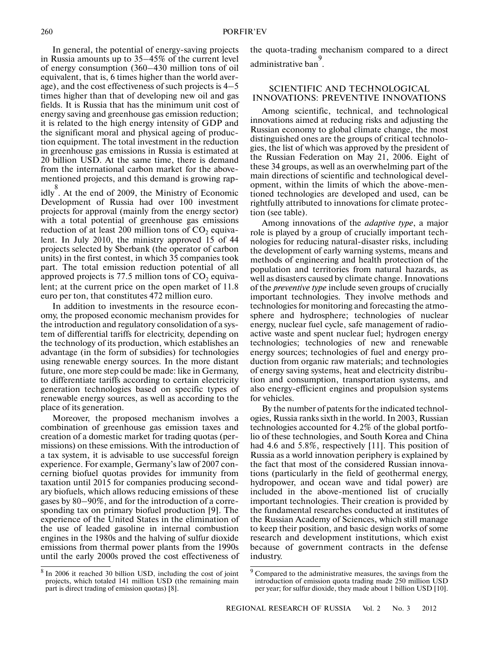In general, the potential of energy-saving projects in Russia amounts up to 35–45% of the current level of energy consumption (360–430 million tons of oil equivalent, that is, 6 times higher than the world aver age), and the cost effectiveness of such projects is 4–5 times higher than that of developing new oil and gas fields. It is Russia that has the minimum unit cost of energy saving and greenhouse gas emission reduction; it is related to the high energy intensity of GDP and the significant moral and physical ageing of produc tion equipment. The total investment in the reduction in greenhouse gas emissions in Russia is estimated at 20 billion USD. At the same time, there is demand from the international carbon market for the above mentioned projects, and this demand is growing rap-

idly 8 . At the end of 2009, the Ministry of Economic Development of Russia had over 100 investment projects for approval (mainly from the energy sector) with a total potential of greenhouse gas emissions reduction of at least 200 million tons of  $CO<sub>2</sub>$  equivalent. In July 2010, the ministry approved 15 of 44 projects selected by Sberbank (the operator of carbon units) in the first contest, in which 35 companies took part. The total emission reduction potential of all approved projects is 77.5 million tons of  $CO<sub>2</sub>$  equivalent; at the current price on the open market of 11.8 euro per ton, that constitutes 472 million euro.

In addition to investments in the resource econ omy, the proposed economic mechanism provides for the introduction and regulatory consolidation of a sys tem of differential tariffs for electricity, depending on the technology of its production, which establishes an advantage (in the form of subsidies) for technologies using renewable energy sources. In the more distant future, one more step could be made: like in Germany, to differentiate tariffs according to certain electricity generation technologies based on specific types of renewable energy sources, as well as according to the place of its generation.

Moreover, the proposed mechanism involves a combination of greenhouse gas emission taxes and creation of a domestic market for trading quotas (per missions) on these emissions. With the introduction of a tax system, it is advisable to use successful foreign experience. For example, Germany's law of 2007 con cerning biofuel quotas provides for immunity from taxation until 2015 for companies producing second ary biofuels, which allows reducing emissions of these gases by 80–90%, and for the introduction of a corre sponding tax on primary biofuel production [9]. The experience of the United States in the elimination of the use of leaded gasoline in internal combustion engines in the 1980s and the halving of sulfur dioxide emissions from thermal power plants from the 1990s until the early 2000s proved the cost effectiveness of

<sup>8</sup> In 2006 it reached 30 billion USD, including the cost of joint projects, which totaled 141 million USD (the remaining main part is direct trading of emission quotas) [8].

the quota-trading mechanism compared to a direct e<br>. administrative ban

# SCIENTIFIC AND TECHNOLOGICAL INNOVATIONS: PREVENTIVE INNOVATIONS

Among scientific, technical, and technological innovations aimed at reducing risks and adjusting the Russian economy to global climate change, the most distinguished ones are the groups of critical technolo gies, the list of which was approved by the president of the Russian Federation on May 21, 2006. Eight of these 34 groups, as well as an overwhelming part of the main directions of scientific and technological devel opment, within the limits of which the above-men tioned technologies are developed and used, can be rightfully attributed to innovations for climate protec tion (see table).

Among innovations of the *adaptive type*, a major role is played by a group of crucially important tech nologies for reducing natural-disaster risks, including the development of early warning systems, means and methods of engineering and health protection of the population and territories from natural hazards, as well as disasters caused by climate change. Innovations of the *preventive type* include seven groups of crucially important technologies. They involve methods and technologies for monitoring and forecasting the atmo sphere and hydrosphere; technologies of nuclear energy, nuclear fuel cycle, safe management of radio active waste and spent nuclear fuel; hydrogen energy technologies; technologies of new and renewable energy sources; technologies of fuel and energy pro duction from organic raw materials; and technologies of energy saving systems, heat and electricity distribu tion and consumption, transportation systems, and also energy-efficient engines and propulsion systems for vehicles.

By the number of patents for the indicated technol ogies, Russia ranks sixth in the world. In 2003, Russian technologies accounted for 4.2% of the global portfo lio of these technologies, and South Korea and China had 4.6 and 5.8%, respectively [11]. This position of Russia as a world innovation periphery is explained by the fact that most of the considered Russian innova tions (particularly in the field of geothermal energy, hydropower, and ocean wave and tidal power) are included in the above-mentioned list of crucially important technologies. Their creation is provided by the fundamental researches conducted at institutes of the Russian Academy of Sciences, which still manage to keep their position, and basic design works of some research and development institutions, which exist because of government contracts in the defense industry.

<sup>&</sup>lt;sup>9</sup> Compared to the administrative measures, the savings from the introduction of emission quota trading made 250 million USD per year; for sulfur dioxide, they made about 1 billion USD [10].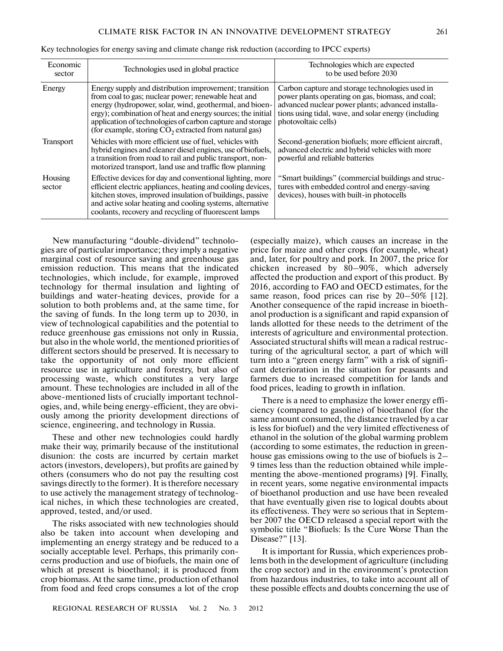| Economic<br>sector | Technologies used in global practice                                                                                                                                                                                                                                                                                                                           | Technologies which are expected<br>to be used before 2030                                                                                                                                                                                |
|--------------------|----------------------------------------------------------------------------------------------------------------------------------------------------------------------------------------------------------------------------------------------------------------------------------------------------------------------------------------------------------------|------------------------------------------------------------------------------------------------------------------------------------------------------------------------------------------------------------------------------------------|
| Energy             | Energy supply and distribution improvement; transition<br>from coal to gas; nuclear power; renewable heat and<br>energy (hydropower, solar, wind, geothermal, and bioen-<br>ergy); combination of heat and energy sources; the initial<br>application of technologies of carbon capture and storage<br>(for example, storing $CO2$ extracted from natural gas) | Carbon capture and storage technologies used in<br>power plants operating on gas, biomass, and coal;<br>advanced nuclear power plants; advanced installa-<br>tions using tidal, wave, and solar energy (including<br>photovoltaic cells) |
| <b>Transport</b>   | Vehicles with more efficient use of fuel, vehicles with<br>hybrid engines and cleaner diesel engines, use of biofuels,<br>a transition from road to rail and public transport, non-<br>motorized transport, land use and traffic flow planning                                                                                                                 | Second-generation biofuels; more efficient aircraft,<br>advanced electric and hybrid vehicles with more<br>powerful and reliable batteries                                                                                               |
| Housing<br>sector  | Effective devices for day and conventional lighting, more<br>efficient electric appliances, heating and cooling devices,<br>kitchen stoves, improved insulation of buildings, passive<br>and active solar heating and cooling systems, alternative<br>coolants, recovery and recycling of fluorescent lamps                                                    | "Smart buildings" (commercial buildings and struc-<br>tures with embedded control and energy-saving<br>devices), houses with built-in photocells                                                                                         |

|  | Key technologies for energy saving and climate change risk reduction (according to IPCC experts) |  |  |
|--|--------------------------------------------------------------------------------------------------|--|--|
|  |                                                                                                  |  |  |

New manufacturing "double-dividend" technolo gies are of particular importance; they imply a negative marginal cost of resource saving and greenhouse gas emission reduction. This means that the indicated technologies, which include, for example, improved technology for thermal insulation and lighting of buildings and water-heating devices, provide for a solution to both problems and, at the same time, for the saving of funds. In the long term up to 2030, in view of technological capabilities and the potential to reduce greenhouse gas emissions not only in Russia, but also in the whole world, the mentioned priorities of different sectors should be preserved. It is necessary to take the opportunity of not only more efficient resource use in agriculture and forestry, but also of processing waste, which constitutes a very large amount. These technologies are included in all of the above-mentioned lists of crucially important technol ogies, and, while being energy-efficient, they are obvi ously among the priority development directions of science, engineering, and technology in Russia.

These and other new technologies could hardly make their way, primarily because of the institutional disunion: the costs are incurred by certain market actors (investors, developers), but profits are gained by others (consumers who do not pay the resulting cost savings directly to the former). It is therefore necessary to use actively the management strategy of technolog ical niches, in which these technologies are created, approved, tested, and/or used.

The risks associated with new technologies should also be taken into account when developing and implementing an energy strategy and be reduced to a socially acceptable level. Perhaps, this primarily con cerns production and use of biofuels, the main one of which at present is bioethanol; it is produced from crop biomass. At the same time, production of ethanol from food and feed crops consumes a lot of the crop

(especially maize), which causes an increase in the price for maize and other crops (for example, wheat) and, later, for poultry and pork. In 2007, the price for chicken increased by 80–90%, which adversely affected the production and export of this product. By 2016, according to FAO and OECD estimates, for the same reason, food prices can rise by  $20-50\%$  [12]. Another consequence of the rapid increase in bioeth anol production is a significant and rapid expansion of lands allotted for these needs to the detriment of the interests of agriculture and environmental protection. Associated structural shifts will mean a radical restruc turing of the agricultural sector, a part of which will turn into a "green energy farm" with a risk of signifi cant deterioration in the situation for peasants and farmers due to increased competition for lands and food prices, leading to growth in inflation.

There is a need to emphasize the lower energy effi ciency (compared to gasoline) of bioethanol (for the same amount consumed, the distance traveled by a car is less for biofuel) and the very limited effectiveness of ethanol in the solution of the global warming problem (according to some estimates, the reduction in green house gas emissions owing to the use of biofuels is 2– 9 times less than the reduction obtained while imple menting the above-mentioned programs) [9]. Finally, in recent years, some negative environmental impacts of bioethanol production and use have been revealed that have eventually given rise to logical doubts about its effectiveness. They were so serious that in Septem ber 2007 the OECD released a special report with the symbolic title "Biofuels: Is the Cure Worse Than the Disease?" [13].

It is important for Russia, which experiences prob lems both in the development of agriculture (including the crop sector) and in the environment's protection from hazardous industries, to take into account all of these possible effects and doubts concerning the use of